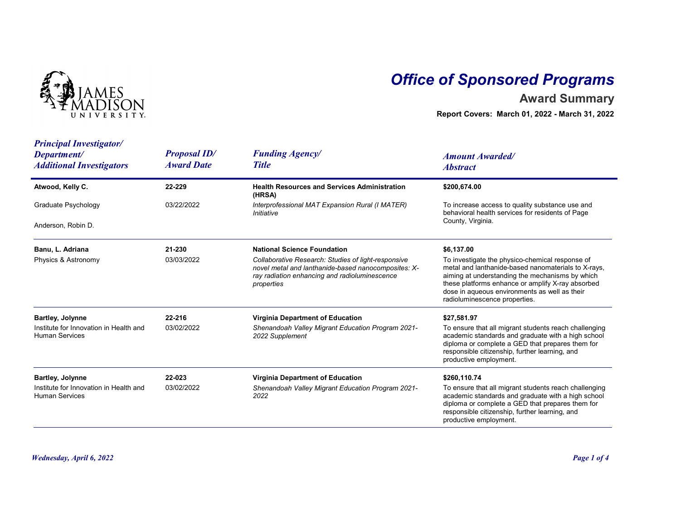

## Office of Sponsored Programs

## Award Summary

| NIVERSITY.                                                                                 |                                          |                                                                                                                                                                                                                 | <b>Office of Sponsored Programs</b><br><b>Award Summary</b><br>Report Covers: March 01, 2022 - March 31, 2022                                                                                                                                                                                                  |
|--------------------------------------------------------------------------------------------|------------------------------------------|-----------------------------------------------------------------------------------------------------------------------------------------------------------------------------------------------------------------|----------------------------------------------------------------------------------------------------------------------------------------------------------------------------------------------------------------------------------------------------------------------------------------------------------------|
| <b>Principal Investigator/</b><br>Department/<br><b>Additional Investigators</b>           | <b>Proposal ID/</b><br><b>Award Date</b> | <b>Funding Agency/</b><br><b>Title</b>                                                                                                                                                                          | <b>Amount Awarded/</b><br><b>Abstract</b>                                                                                                                                                                                                                                                                      |
| Atwood, Kelly C.                                                                           | 22-229                                   | <b>Health Resources and Services Administration</b>                                                                                                                                                             | \$200,674.00                                                                                                                                                                                                                                                                                                   |
| Graduate Psychology                                                                        | 03/22/2022                               | (HRSA)<br>Interprofessional MAT Expansion Rural (I MATER)<br>Initiative                                                                                                                                         | To increase access to quality substance use and<br>behavioral health services for residents of Page                                                                                                                                                                                                            |
| Anderson, Robin D.                                                                         |                                          |                                                                                                                                                                                                                 | County, Virginia.                                                                                                                                                                                                                                                                                              |
| Banu, L. Adriana<br>Physics & Astronomy                                                    | 21-230<br>03/03/2022                     | <b>National Science Foundation</b><br>Collaborative Research: Studies of light-responsive<br>novel metal and lanthanide-based nanocomposites: X-<br>ray radiation enhancing and radioluminescence<br>properties | \$6,137.00<br>To investigate the physico-chemical response of<br>metal and lanthanide-based nanomaterials to X-rays,<br>aiming at understanding the mechanisms by which<br>these platforms enhance or amplify X-ray absorbed<br>dose in aqueous environments as well as their<br>radioluminescence properties. |
| <b>Bartley, Jolynne</b><br>Institute for Innovation in Health and<br><b>Human Services</b> | 22-216<br>03/02/2022                     | Virginia Department of Education<br>Shenandoah Valley Migrant Education Program 2021-<br>2022 Supplement                                                                                                        | \$27,581.97<br>To ensure that all migrant students reach challenging<br>academic standards and graduate with a high school<br>diploma or complete a GED that prepares them for<br>responsible citizenship, further learning, and<br>productive employment.                                                     |
| <b>Bartley, Jolynne</b><br>Institute for Innovation in Health and<br><b>Human Services</b> | 22-023<br>03/02/2022                     | Virginia Department of Education<br>Shenandoah Valley Migrant Education Program 2021-<br>2022                                                                                                                   | \$260,110.74<br>To ensure that all migrant students reach challenging<br>academic standards and graduate with a high school<br>diploma or complete a GED that prepares them for<br>responsible citizenship, further learning, and<br>productive employment.                                                    |
| <b>Wednesday, April 6, 2022</b>                                                            |                                          |                                                                                                                                                                                                                 | Page 1 of 4                                                                                                                                                                                                                                                                                                    |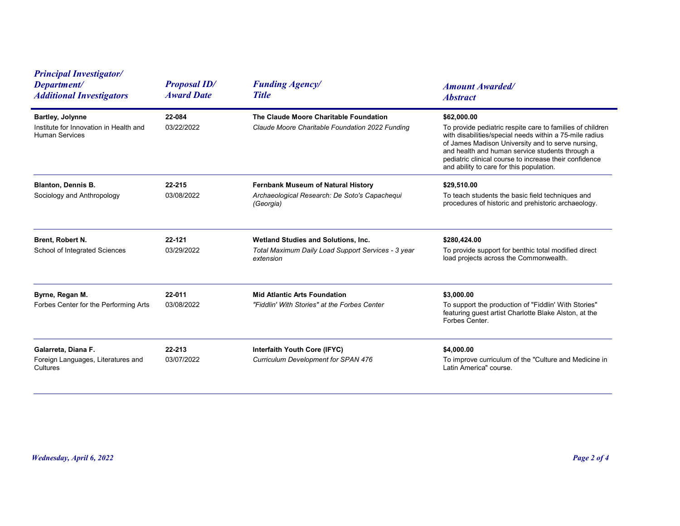| <b>Principal Investigator/</b><br>Department/<br><b>Additional Investigators</b>           | <b>Proposal ID/</b><br><b>Award Date</b> | <b>Funding Agency/</b><br><b>Title</b>                                                                 | <b>Amount Awarded/</b><br><b>Abstract</b>                                                                                                                                                                                                                                                                                                         |
|--------------------------------------------------------------------------------------------|------------------------------------------|--------------------------------------------------------------------------------------------------------|---------------------------------------------------------------------------------------------------------------------------------------------------------------------------------------------------------------------------------------------------------------------------------------------------------------------------------------------------|
| <b>Bartley, Jolynne</b><br>Institute for Innovation in Health and<br><b>Human Services</b> | 22-084<br>03/22/2022                     | The Claude Moore Charitable Foundation<br>Claude Moore Charitable Foundation 2022 Funding              | \$62,000.00<br>To provide pediatric respite care to families of children<br>with disabilities/special needs within a 75-mile radius<br>of James Madison University and to serve nursing,<br>and health and human service students through a<br>pediatric clinical course to increase their confidence<br>and ability to care for this population. |
| <b>Blanton, Dennis B.</b><br>Sociology and Anthropology                                    | 22-215<br>03/08/2022                     | Fernbank Museum of Natural History<br>Archaeological Research: De Soto's Capachequi<br>(Georgia)       | \$29,510.00<br>To teach students the basic field techniques and<br>procedures of historic and prehistoric archaeology.                                                                                                                                                                                                                            |
| Brent, Robert N.<br>School of Integrated Sciences                                          | 22-121<br>03/29/2022                     | Wetland Studies and Solutions, Inc.<br>Total Maximum Daily Load Support Services - 3 year<br>extension | \$280,424.00<br>To provide support for benthic total modified direct<br>load projects across the Commonwealth.                                                                                                                                                                                                                                    |
| Byrne, Regan M.<br>Forbes Center for the Performing Arts                                   | 22-011<br>03/08/2022                     | <b>Mid Atlantic Arts Foundation</b><br>"Fiddlin' With Stories" at the Forbes Center                    | \$3,000.00<br>To support the production of "Fiddlin' With Stories"<br>featuring guest artist Charlotte Blake Alston, at the<br>Forbes Center.                                                                                                                                                                                                     |
| Galarreta, Diana F.<br>Foreign Languages, Literatures and<br>Cultures                      | 22-213<br>03/07/2022                     | Interfaith Youth Core (IFYC)<br>Curriculum Development for SPAN 476                                    | \$4,000.00<br>To improve curriculum of the "Culture and Medicine in<br>Latin America" course.                                                                                                                                                                                                                                                     |
|                                                                                            |                                          |                                                                                                        |                                                                                                                                                                                                                                                                                                                                                   |
| <b>Wednesday, April 6, 2022</b>                                                            |                                          |                                                                                                        | Page 2 of 4                                                                                                                                                                                                                                                                                                                                       |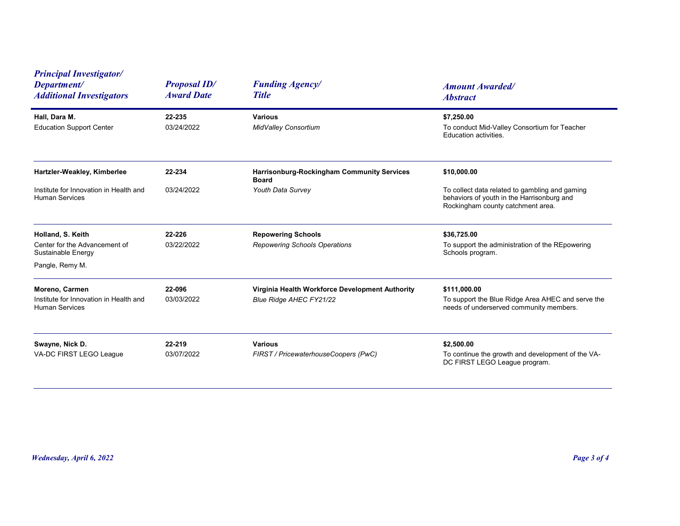| <b>Principal Investigator/</b><br>Department/<br><b>Additional Investigators</b>  | <b>Proposal ID/</b><br><b>Award Date</b> | <b>Funding Agency/</b><br><b>Title</b>                                     | <b>Amount Awarded/</b><br><b>Abstract</b>                                                                                         |
|-----------------------------------------------------------------------------------|------------------------------------------|----------------------------------------------------------------------------|-----------------------------------------------------------------------------------------------------------------------------------|
| Hall, Dara M.<br><b>Education Support Center</b>                                  | 22-235<br>03/24/2022                     | <b>Various</b><br>MidValley Consortium                                     | \$7,250.00<br>To conduct Mid-Valley Consortium for Teacher<br>Education activities.                                               |
| Hartzler-Weakley, Kimberlee                                                       | 22-234                                   | Harrisonburg-Rockingham Community Services<br><b>Board</b>                 | \$10,000.00                                                                                                                       |
| Institute for Innovation in Health and<br><b>Human Services</b>                   | 03/24/2022                               | Youth Data Survey                                                          | To collect data related to gambling and gaming<br>behaviors of youth in the Harrisonburg and<br>Rockingham county catchment area. |
| Holland, S. Keith<br>Center for the Advancement of<br>Sustainable Energy          | 22-226<br>03/22/2022                     | <b>Repowering Schools</b><br>Repowering Schools Operations                 | \$36,725.00<br>To support the administration of the REpowering<br>Schools program.                                                |
| Pangle, Remy M.                                                                   |                                          |                                                                            |                                                                                                                                   |
| Moreno, Carmen<br>Institute for Innovation in Health and<br><b>Human Services</b> | 22-096<br>03/03/2022                     | Virginia Health Workforce Development Authority<br>Blue Ridge AHEC FY21/22 | \$111,000.00<br>To support the Blue Ridge Area AHEC and serve the<br>needs of underserved community members.                      |
| Swayne, Nick D.<br>VA-DC FIRST LEGO League                                        | 22-219<br>03/07/2022                     | <b>Various</b><br>FIRST / PricewaterhouseCoopers (PwC)                     | \$2,500.00<br>To continue the growth and development of the VA-<br>DC FIRST LEGO League program.                                  |
|                                                                                   |                                          |                                                                            |                                                                                                                                   |
|                                                                                   |                                          |                                                                            |                                                                                                                                   |
| <b>Wednesday, April 6, 2022</b>                                                   |                                          |                                                                            | Page 3 of 4                                                                                                                       |
|                                                                                   |                                          |                                                                            |                                                                                                                                   |
|                                                                                   |                                          |                                                                            |                                                                                                                                   |